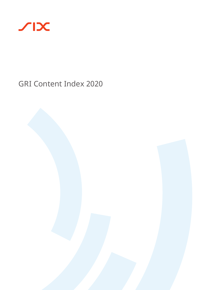

# GRI Content Index 2020

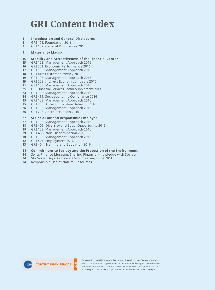# <span id="page-1-0"></span>**GRI Content Index**

- **[Introduction and General Disclosures](#page-2-0)**
- [GRI 101: Foundation 2016](#page-2-0)
- [GRI 102: General Disclosures 2016](#page-2-0)

#### **[Materiality Matrix](#page-8-0)**

- **[Stability and Attractiveness of the Financial Center](#page-14-0)**
- [GRI 103: Management Approach 2016](#page-14-0)
- [GRI 201: Economic Performance 2016](#page-15-0)
- [GRI 103: Management Approach 2016](#page-16-0)
- [GRI 418: Customer Privacy 2016](#page-17-0)
- [GRI 103: Management Approach 2016](#page-18-0)
- [GRI 203: Indirect Economic Impacts 2016](#page-18-0)
- [GRI 103: Management Approach 2016](#page-20-0)
- [GRI Financial Services Sector Supplement 2013](#page-20-0)
- [GRI 103: Management Approach 2016](#page-23-0)
- [GRI 419: Socioeconomic Compliance 2016](#page-23-0)
- [GRI 103: Management Approach 2016](#page-24-0)
- [GRI 206: Anti-Competitive Behavior 2016](#page-24-0)
- [GRI 103: Management Approach 2016](#page-25-0)
- [GRI 205: Anti-Corruption 2016](#page-25-0)

# **[SIX as a Fair and Responsible Employer](#page-26-0)**

- [GRI 103: Management Approach 2016](#page-26-0)
- [GRI 405: Diversity and Equal Opportunity 2016](#page-27-0)
- [GRI 103: Management Approach 2016](#page-28-0)
- [GRI 406: Non-Discrimination 2016](#page-28-0)
- [GRI 103: Management Approach 2016](#page-29-0)
- [GRI 401: Employment 2016](#page-31-0)
- [GRI 404: Training and Education 2016](#page-32-0)
- **[Commitment to Society and the Protection of the Environment](#page-33-0)**
- [Swiss Finance Museum: Sharing Financial Knowledge with Society](#page-33-0)
- [SIX Social Days: Corporate Volunteering since 2011](#page-33-0)
- [Responsible Use of Natural Resources](#page-33-0)



In executing the GRI Content Index Service, the GRI Services Team confirms that the GRI Content Index is presented in an understandable way and that references for all the information it contains are consistent with the corresponding sections in the report. The service was performed on the German version of the report.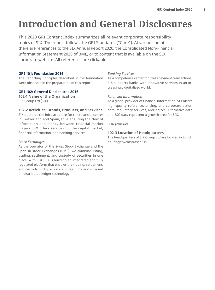# <span id="page-2-0"></span>**Introduction and General Disclosures**

This 2020 GRI Content Index summarizes all relevant corporate responsibility topics of SIX. The report follows the GRI Standards ("Core"). At various points, there are references to the SIX Annual Report 2020, the Consolidated Non-Financial Information Statement 2020 of BME, or to content that is available on the SIX corporate website. All references are clickable.

#### **GRI 101: Foundation 2016**

The Reporting Principles described in the foundation were observed in the preparation of this report.

#### **GRI 102: General Disclosures 2016**

**102-1 Name of the Organization** SIX Group Ltd (SIX).

#### **102-2 Activities, Brands, Products, and Services**

SIX operates the infrastructure for the financial center in Switzerland and Spain, thus ensuring the flow of information and money between financial market players. SIX offers services for the capital market, financial information, and banking services.

#### *Stock Exchanges*

As the operator of the Swiss Stock Exchange and the Spanish stock exchanges (BME), we combine listing, trading, settlement, and custody of securities in one place. With SDX, SIX is building an integrated and fully regulated platform that enables the trading, settlement, and custody of digital assets in real time and is based on distributed ledger technology.

#### *Banking Services*

As a competence center for Swiss payment transactions, SIX supports banks with innovative services in an increasingly digitalized world.

#### *Financial Information*

As a global provider of financial information, SIX offers high-quality reference, pricing, and corporate action data, regulatory services, and indices. Alternative data and ESG data represent a growth area for SIX.

#### → **[six-group.com](http://www.six-group.com)**

### **102-3 Location of Headquarters**

The headquarters of SIX Group Ltd are located in Zurich at Pfingstweidstrasse 110.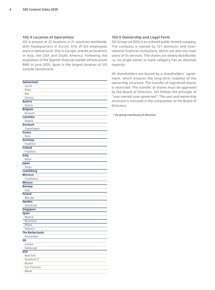#### **102-4 Location of Operations**

SIX is present at 32 locations in 21 countries worldwide, with headquarters in Zurich. 61% of SIX employees work in Switzerland, 35% in Europe, and 4% at locations in Asia, the USA and South America. Following the acquisition of the Spanish financial market infrastructure BME in June 2020, Spain is the largest location of SIX outside Switzerland.

| Switzerland            |  |
|------------------------|--|
| Zurich                 |  |
| Olten                  |  |
| Biel                   |  |
| Geneva                 |  |
| <b>Austria</b>         |  |
| Vienna                 |  |
| <b>Belgium</b>         |  |
| <b>Brussels</b>        |  |
| Columbia               |  |
| Bogotà                 |  |
| <b>Denmark</b>         |  |
| Copenhagen             |  |
| <b>France</b>          |  |
| Paris                  |  |
| Germany                |  |
| Frankfurt              |  |
| <b>Ireland</b>         |  |
| Frankfurt              |  |
| <b>Italy</b>           |  |
| Milan                  |  |
| Japan                  |  |
| Tokyo                  |  |
| <b>Luxemburg</b>       |  |
| <b>Morocco</b>         |  |
| Casablanca             |  |
| <b>Monaco</b>          |  |
| <b>Norway</b>          |  |
| Oslo                   |  |
| <b>Poland</b>          |  |
| Warsaw                 |  |
| <b>Sweden</b>          |  |
| Stockholm              |  |
| <b>Singapore</b>       |  |
| <b>Spain</b>           |  |
| Madrid                 |  |
| Barcelona              |  |
| <b>Bilbao</b>          |  |
| Valencia               |  |
| <b>The Netherlands</b> |  |
| Amsterdam              |  |
| UK                     |  |
| London                 |  |
| Edinburgh              |  |
| <b>USA</b>             |  |
| New York               |  |
| Stamford CT            |  |
| <b>Boston</b>          |  |
| San Francisco          |  |
| Miami                  |  |

#### **102-5 Ownership and Legal Form**

SIX Group Ltd (SIX) is an unlisted public limited company. The company is owned by 121 domestic and international financial institutions, which are also the main users of its services. The shares are widely distributed, i.e. no single owner or bank category has an absolute majority.

All shareholders are bound by a shareholders' agreement, which ensures the long-term stability of the ownership structure. The transfer of registered shares is restricted. The transfer of shares must be approved by the Board of Directors. SIX follows the principle of "user-owned, user-governed": The user and ownership structure is mirrored in the composition of the Board of Directors.

→ **[six-group.com/board-of-directors](http://www.six-group.com/board-of-directors)**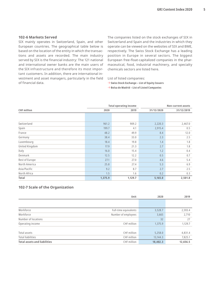#### **102-6 Markets Served**

SIX mainly operates in Switzerland, Spain, and other European countries. The geographical table below is based on the location of the entity in which the transactions and assets are recorded. The main industry served by SIX is the financial industry: The 121 national and international owner banks are the main users of the SIX infrastructure and therefore its most important customers. In addition, there are international investment and asset managers, particularly in the field of financial data.

The companies listed on the stock exchanges of SIX in Switzerland and Spain and the industries in which they operate can be viewed on the websites of SIX and BME, respectively. The Swiss Stock Exchange has a leading position in Europe in several sectors. The biggest European free-float-capitalized companies in the pharmaceutical, food, industrial machinery, and specialty chemicals sectors are listed here.

List of listed companies:

→ **[Swiss Stock Exchange – List of Equity Issuers](https://www.six-group.com/en/products-services/the-swiss-stock-exchange/market-data/shares/companies.html)**

→ **[Bolsa de Madrid – List of Listed Companies](https://www.bolsamadrid.es/ing/aspx/Empresas/Empresas.aspx)** 

|                    |         | <b>Total operating income</b> |            | <b>Non-current assets</b> |
|--------------------|---------|-------------------------------|------------|---------------------------|
| <b>CHF</b> million | 2020    | 2019                          | 31/12/2020 | 31/12/2019                |
|                    |         |                               |            |                           |
|                    |         |                               |            |                           |
| Switzerland        | 961.2   | 909.2                         | 2,220.3    | 2,467.0                   |
| Spain              | 199.7   | 4.1                           | 2,915.4    | 0.5                       |
| France             | 48.2    | 49.9                          | 8.4        | 12.0                      |
| Germany            | 38.4    | 33.0                          | 2.3        | 2.5                       |
| Luxembourg         | 18.4    | 19.8                          | 1.4        | 1.8                       |
| United Kingdom     | 17.9    | 21.3                          | 2.7        | 1.8                       |
| Italy              | 16.0    | 15.4                          | 1.2        | 0.4                       |
| Denmark            | 12.5    | 12.2                          | 0.5        | 0.7                       |
| Rest of Europe     | 27.1    | 27.0                          | 4.6        | 5.4                       |
| North America      | 25.8    | 27.4                          | 5.3        | 6.9                       |
| Asia/Pacific       | 9.2     | 8.7                           | 2.7        | 2.5                       |
| North Africa       | 1.5     | 1.6                           | 0.2        | 0.3                       |
| Total              | 1,375.9 | 1,129.7                       | 5,165.0    | 2,501.8                   |

#### **102-7 Scale of the Organization**

|                                     | Unit                  | 2020     | 2019     |
|-------------------------------------|-----------------------|----------|----------|
|                                     |                       |          |          |
| Workforce                           | Full-time equivalents | 3,528.7  | 2,593.4  |
| Workforce                           | Number of employees   | 3,665    | 2,710    |
| Number of locations                 |                       | 32       | 27       |
| Operating income                    | CHF million           | 1,375.9  | 1,129.7  |
|                                     |                       |          |          |
| Total assets                        | CHF million           | 5,258.0  | 4,831.4  |
| <b>Total liabilities</b>            | CHF million           | 13,144.3 | 7,825.1  |
| <b>Total assets and liabilities</b> | CHF million           | 18,402.3 | 12,656.5 |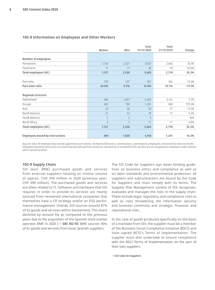|                                        |                |                | Total          | Total             |          |
|----------------------------------------|----------------|----------------|----------------|-------------------|----------|
|                                        | Women          | Men            | 31/12/2020     | 31/12/2019        | Change   |
|                                        |                |                |                |                   |          |
| <b>Number of employees</b>             |                |                |                |                   |          |
| Permanent                              | 1,116          | 2,521          | 3,637          | 2,692             | 35.1%    |
| Fixed-term                             | 11             | 17             | 28             | 18                | 55.6%    |
| <b>Total employees (HC)</b>            | 1,127          | 2,538          | 3,665          | 2,710             | 35.2%    |
| Part-time                              | 270            | 237            | 507            | 452               | 12.2%    |
| Part-time ratio                        | 24.0%          | 9.3%           | 13.8%          | 16.7%             | $-17.1%$ |
| <b>Regional structure</b>              |                |                |                |                   |          |
| Switzerland                            | 586            | 1,657          | 2,243          | 2,122             | 5.7%     |
| Europe                                 | 492            | 799            | 1,291          | 469               | 175.3%   |
| Asia                                   | 22             | 20             | 42             | 37                | 13.5%    |
| North America                          | 21             | 53             | 74             | 71                | 4.2%     |
| South America                          | $\overline{2}$ | $\overline{2}$ | $\overline{4}$ | $\qquad \qquad -$ | N/A      |
| North Africa                           | $\overline{4}$ | $\overline{7}$ | 11             | 11                | 0.0%     |
| <b>Total employees (HC)</b>            | 1,127          | 2,538          | 3,665          | 2,710             | 35.2%    |
| <b>Employees bound by instructions</b> | 390            | 1,028          | 1,418          | 1,241             | 14.3%    |

#### <span id="page-5-0"></span>**102-8 Information on Employees and Other Workers**

Basis for data: All employee data exclude apprentices and trainees, the Board of Directors, commissioners, and temporary employees contracted less than six months. Employees bound by instructions are natural persons who perform normal on-site work for or on behalf of SIX, but who are not recognized as employees under national law or national practice.

#### **102-9 Supply Chain**

SIX (excl. BME) purchased goods and services from external suppliers totaling an invoice volume of approx. CHF 390 million in 2020 (previous year: CHF 390 million). The purchased goods and services are often related to IT. Software and hardware that SIX requires in order to provide its services are mainly sourced from renowned international companies that themselves have a CR strategy and/or an ESG performance management. Overall, SIX sources around 87% of its goods and services within Switzerland. This share declined by around 5% as compared to the previous years due to the acquisition of the Spanish stock market operator BME in 2020 (→ **GRI 102-10**) BME sources 90% of its goods and services from local, Spanish suppliers.

The SIX Code for Suppliers lays down binding guidelines on business ethics and compliance as well as on labor standards and environmental protection: all suppliers and subcontractors are bound by the Code for Suppliers and must comply with its terms. The Supplier Risk Management system of SIX recognizes, evaluates and manages the risks in the supply chain. These include legal, regulatory and compliance risks as well as risks threatening the information security and business continuity and strategic, financial, and reputational risks.

In the case of goods produced specifically on the basis of a mandate from SIX, the supplier must be a member of the Business Social Compliance Initiative (BSCI) and have signed BCSI's Terms of Implementation. The supplier must also undertake to ensure compliance with the BSCI Terms of Implementation on the part of their own suppliers.

→ **[SIX Code for Suppliers](https://www.six-group.com/dam/download/procurement/other/supplier-code-en.pdf)**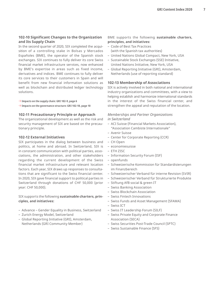#### **102-10 Significant Changes to the Organization and Its Supply Chain**

In the second quarter of 2020, SIX completed the acquisition of a controlling stake in Bolsas y Mercados Españoles (BME), the operator of the Spanish stock exchanges. SIX continues to fully deliver its core Swiss financial market infrastructure services, now enhanced by BME's expertise in areas such as fixed income, derivatives and indices. BME continues to fully deliver its core services to their customers in Spain and will benefit from new financial information solutions as well as blockchain and distributed ledger technology solutions.

→ **[Impacts on the supply chain: GRI 102-9, page 6](#page-5-0)** 

→ **[Impacts on the governance structure: GRI 102-18, page 10](#page-9-0)**

#### **102-11 Precautionary Principle or Approach**

The organizational development as well as the risk and security management of SIX are based on the precautionary principle.

#### **102-12 External Initiatives**

SIX participates in the dialog between business and politics, at home and abroad. In Switzerland, SIX is in constant communication with political parties, associations, the administration, and other stakeholders regarding the current development of the Swiss financial market infrastructure and relevant location factors. Each year, SIX draws up responses to consultations that are significant to the Swiss financial center. In 2020, SIX gave financial support to political parties in Switzerland through donations of CHF 50,000 (prior year: CHF 50,000).

#### SIX supports the following **sustainable charters, principles, and initiatives:**

- Advance Gender Equality in Business, Switzerland
- Zurich Energy Model, Switzerland
- Global Reporting Initiative (GRI), Amsterdam, Netherlands (GRI Community Member)

#### BME supports the following **sustainable charters, principles, and initiatives:**

- Code of Best Tax Practices (with the Spanish tax authorities)
- United Nations Global Compact, New York, USA
- Sustainable Stock Exchanges (SSE) Initiative, United Nations Initiative, New York, USA
- Global Reporting Initiative (GRI), Amsterdam, Netherlands (use of reporting standard)

#### **102-13 Membership of Associations**

SIX is actively involved in both national and international industry organizations and committees, with a view to helping establish and harmonize international standards in the interest of the Swiss financial center, and strengthen the appeal and reputation of the location.

#### *Memberships and Partner Organizations in Switzerland*

- ACI Suisse (Financial Markets Association), "Association Cambiste Internationale"
- Avenir Suisse
- Center for Corporate Reporting (CCR)
- CH Open
- economiesuisse
- ETH ZISC
	- Information Security Forum (ISF)
	- openfunds
	- Schweizerische Kommission für Standardisierungen im Finanzbereich
	- Schweizerischer Verband für interne Revision (SVIR)
	- Schweizerischer Verband für Strukturierte Produkte
	- Stiftung AfB social & green IT
	- Swiss Banking Association
	- Swiss Blockchain Association
	- Swiss Fintech Innovations
	- Swiss Funds and Asset Management (SFAMA)
	- Swiss ICT
	- Swiss IT Leadership Forum (SILF)
	- Swiss Private Equity and Corporate Finance Association (SECA)
	- Swiss Securities Post-Trade Council (SPTC)
	- Swiss Sustainable Finance (SFS)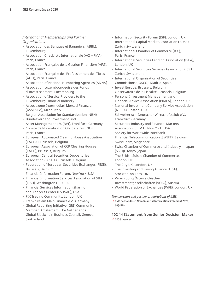### *International Memberships and Partner Organizations*

- Association des Banques et Banquiers (ABBL), Luxembourg
- Association Checklists Internationale (ACI FMA), Paris, France
- Association Française de la Gestion Financière (AFG), Paris, France
- Association Française des Professionnels des Titres (AFTI), Paris, France
- Association of National Numbering Agencies (ANNA)
- Association Luxembourgeoise des Fonds d'Investissement, Luxembourg
- Association of Service Providers to the Luxembourg Financial Industry
- Associazone Intermediari Mercati Finanziari (ASSOSIM), Milan, Italy
- Belgian Association for Standardization (NBN)
- Bundesverband Investment und Asset Management e.V. (BVI), Frankfurt, Germany
- Comité de Normalisation Obligataire (CNO), Paris, France
- European Automated Clearing House Association (EACHA), Brussels, Belgium
- European Association of CCP Clearing Houses (EACH), Brussels, Belgium
- European Central Securities Depositories Association (ECSDA), Brussels, Belgium
- Federation of European Securities Exchanges (FESE), Brussels, Belgium
- Financial Information Forum, New York, USA
- Financial Information Services Association of SIIA (FISD), Washington DC, USA
- Financial Services Information Sharing and Analysis Center (FS-ISAC), USA
- FIX Trading Community, London, UK
- Frankfurt am Main Finance e.V., Germany
- Global Reporting Initiative (GRI) Community Member, Amsterdam, The Netherlands
- Global Blockchain Business Council, Geneva, Switzerland
- Information Security Forum (ISF), London, UK
- International Capital Market Association (ICMA), Zurich, Switzerland
- International Chamber of Commerce (ICC), Paris, France
- International Securities Lending Association (ISLA), London, UK
- International Securities Services Association (ISSA), Zurich, Switzerland
- International Organization of Securities Commissions (IOSCO), Madrid, Spain
- Invest Europe, Brussels, Belgium
- Observatoire de la Fiscalité, Brussels, Belgium
- Personal Investment Management and Financial Advice Association (PIMFA), London, UK
- National Investment Company Service Association (NICSA), Boston, USA
- Schweizerisch-Deutscher Wirtschaftsclub e.V., Frankfurt, Germany
- Securities Industry and Financial Markets Association (SIFMA), New York, USA
- Society for Worldwide Interbank Financial Telecommunication (SWIFT), Belgium
- SwissCham, Singapore
- Swiss Chamber of Commerce and Industry in Japan (SSCIJ), Tokyo, Japan
- The British Suisse Chamber of Commerce, London, UK
- The City UK, London, UK
- The Investing and Saving Alliance (TISA), Stockton-on-Tees, UK
- Vereinigung Österreichischer Investmentgesellschaften (VÖIG), Austria
- World Federation of Exchanges (WFE), London, UK

#### *Memberships and partner organizations of BME:*

→ **[BME Consolidated Non-Financial Information Statement 2020,](https://www.bolsasymercados.es/docs/inf_legal/ing/economico/2020/NonFinancialInfo_2020.pdf?8UD3Jw) page 86.**

### **102-14 Statement from Senior Decision-Maker**  → **[CEO Statement](https://reports.six-group.com/en/2020CRR/report/six-corporate-responsibility-report-2020/ceo-statement)**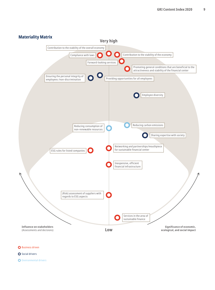<span id="page-8-0"></span>

**O** Business driven

- **O** Social drivers
- **O** Environmental drivers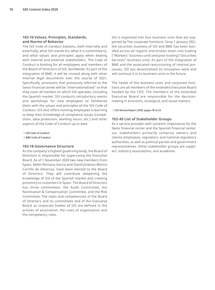#### <span id="page-9-0"></span>**102-16 Values, Principles, Standards, and Norms of Behavior**

The SIX Code of Conduct explains, both internally and externally, what SIX stands for, what it is committed to, and what values and principles apply when dealing with internal and external stakeholders. The Code of Conduct is binding for all employees and members of the Board of Directors of SIX, worldwide. As part of the integration of BME, it will be revised along with other internal legal documents over the course of 2021. Specifically, provisions that previously referred to the Swiss financial center will be "internationalized" so that they cover all markets on which SIX operates, including the Spanish market. SIX conducts introductory events and workshops for new employees to familiarize them with the values and principles of the SIX Code of Conduct. SIX also offers existing employees e-learning to keep their knowledge of compliance issues (competition, data protection, working hours, etc.) and other aspects of the Code of Conduct up to date.

→ **[SIX Code of Conduct](https://www.six-group.com/dam/download/company/publications/six-code-of-conduct-en.pdf)**

→ **[BME Code of Conduct](https://www.bolsasymercados.es/docs/inf_legal/ing/gobierno/BME_Code_of_Conduct.pdf)**

#### **102-18 Governance Structure**

As the company's highest governing body, the Board of Directors is responsible for supervising the Executive Board. As of 1 November 2020 two new members from Spain, Belén Romana García and David Jiménez-Blanco Carrillo de Albornoz, have been elected to the Board of Directors. They will contribute deepening the knowledge of SIX of the Spanish market and creating proximity to customers in Spain. The Board of Directors has three committees: the Audit Committee, the Nomination & Compensation Committee, and the Risk Committee. The tasks and competencies of the Board of Directors and its committees and of the Executive Board as corporate bodies of SIX are defined in the articles of association, the rules of organization and the competency rules.

SIX is organized into four business units that are supported by five corporate functions. Since 1 January 2021, the securities business of SIX and BME has been bundled across all regions and broken down into trading ("Markets" business unit) and post-trading ("Securities Services" business unit). As part of the integration of BME and the associated restructuring of internal processes, SIX has decentralized its innovation work and will continue it in its business units in the future.

The heads of the business units and corporate functions are all members of the extended Executive Board headed by the CEO. The members of the extended Executive Board are responsible for the decisionmaking in economic, ecological, and social matters.

#### → **[SIX Annual Report 2020, pages 18 to 23](https://www.six-group.com/dam/download/company/report/annual/2020/six-annual-report-2020-en.pdf)**

#### **102-40 List of Stakeholder Groups**

As a service provider with systemic importance for the Swiss financial center and the Spanish financial center, our stakeholders primarily comprise owners and clients, employees, regulators, and national regulatory authorities, as well as political parties and government representatives. Other stakeholder groups are suppliers, industry associations, and academia.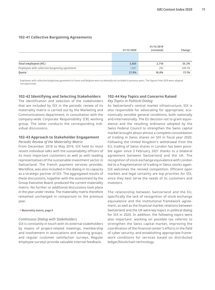#### <span id="page-10-0"></span>**102-41 Collective Bargaining Agreements**

|                                                | 31/12/2020 | 31/12/2019<br>(restated) | Change |
|------------------------------------------------|------------|--------------------------|--------|
|                                                |            |                          |        |
| Total employees (HC)                           | 3,665      | 2,710                    | 35.2%  |
| Employees with collective bargaining agreement | 1.021      | 292                      | 249.7% |
| Quota <sup>1</sup>                             | 27.9%      | 10.8%                    | 17.1%  |

<sup>1</sup> Employees with collective bargaining agreement in France and Belgium were accidentally not included in previous years. The figures from 2019 were adapted retrospectively.

#### **102-42 Identifying and Selecting Stakeholders**

The identification and selection of the stakeholders that are included by SIX in the periodic review of its materiality matrix is carried out by the Marketing and Communications department, in consultation with the company-wide Corporate Responsibility (CR) working group. The latter conducts the corresponding individual discussions.

#### **102-43 Approach to Stakeholder Engagement**

#### *Periodic Review of the Materiality Matrix*

From December 2018 to May 2019, SIX held its most recent individual talks with the sustainability officers of its most important customers as well as with leading representatives of the sustainable investment sector in Switzerland. The French payment services provider, Worldline, was also included in the dialog in its capacity as a strategic partner of SIX. The aggregated results of these discussions, together with the assessment by the Group Executive Board, produced the current materiality matrix. No further or additional discussions took place in the year under review. The materiality matrix therefore remained unchanged in comparison to the previous year.

#### → **[Materiality matrix, page 9](#page-8-0)**

#### *Continuous Dialog with Stakeholders*

SIX is constantly in touch with its external stakeholders by means of project-related meetings, membership and involvement in associations and working groups, and regular customer satisfaction surveys. Regular employee surveys provide valuable internal feedback.

#### **102-44 Key Topics and Concerns Raised** *Key Topics in Political Dialog*

As Switzerland's central market infrastructure, SIX is also responsible for advocating for appropriate, economically sensible general conditions, both nationally and internationally. The EU decision not to grant equivalence and the resulting ordinance adopted by the Swiss Federal Council to strengthen the Swiss capital market brought about almost a complete consolidation of trading in Swiss shares on SIX in fiscal year 2020. Following the United Kingdom's withdrawal from the EU, trading of Swiss shares in London has been possible again since 3 February 2021 thanks to a bilateral agreement between Switzerland and the UK. The recognition of stock exchange equivalence with London led to a fragmentation of trading in Swiss stocks again. SIX welcomes the revived competition. Efficient open markets and legal certainty are top priorities for SIX, since they best serve the needs of its customers and investors.

The relationship between Switzerland and the EU, specifically the lack of recognition of stock exchange equivalence and the institutional framework agreement, as well as the financial market relations between Switzerland and the UK were key topics in political dialog for SIX in 2020. In addition, the following topics were also important: working on possible tax reforms to strengthen the Swiss capital market, improving the coordination of the financial center's efforts in the field of cyber security, and establishing appropriate framework conditions for services based on distributed ledger/blockchain technology.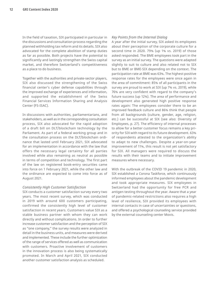In the field of taxation, SIX participated in particular in the discussions and consultation process regarding the planned withholding tax reform and its details. SIX also advocated for the complete abolition of stamp duties as far as possible. Both projects have the potential to significantly and lastingly strengthen the Swiss capital market, and therefore Switzerland's competitiveness as a place to do business.

Together with the authorities and private-sector players, SIX also discussed the strengthening of the Swiss financial center's cyber defense capabilities through the improved exchange of experiences and information, and supported the establishment of the Swiss Financial Services Information Sharing and Analysis Center (FS-ISAC).

In discussions with authorities, parliamentarians, and stakeholders, as well as in the corresponding consultation process, SIX also advocated for the rapid adoption of a draft bill on DLT/blockchain technology by the Parliament. As part of a federal working group and in the consultation process on the DLT/blockchain ordinance that lasted until February 2021, SIX advocated for an implementation in accordance with the law that offers the necessary legal certainty for all parties involved while also remaining as neutral as possible in terms of competition and technology. The first part of the law on registered book-entry securities came into force on 1 February 2021, while the other law and the ordinance are expected to come into force as of August 2021.

#### *Consistently High Customer Satisfaction*

SIX conducts a customer satisfaction survey every two years. The most recent survey, which was conducted in 2019 with around 600 customers participating, confirmed the consistently high level of customer satisfaction in recent years. Customers value SIX as a stable business partner with whom they can work directly and without complications. In order to further increase customer satisfaction and the perception of SIX as "one company," the survey results were analyzed in detail in the business units, and measures were derived and implemented. These include the further optimization of the range of services offered as well as communication with customers. Proactive involvement of customers in the innovation process is also being systematically promoted. In March and April 2021, SIX conducted another customer satisfaction analysis as scheduled.

#### *Key Points from the Internal Dialog*

A year after the initial survey, SIX asked its employees about their perception of the corporate culture for a second time in 2020. 79% (up 1% vs. 2019) of those asked responded. The BME employees took part in the survey as an initial survey. The questions were adapted slightly to suit to culture and also related not to SIX but to BME or BME-SIX depending on the context. The participation rate at BME was 63%. The highest positive response rates for the employees were once again in the area of commitment: 85% of all participants in the survey are proud to work at SIX (up 7% vs. 2019), while 76% are very confident with regard to the company's future success (up 12%). The area of performance and development also generated high positive response rates again: The employees consider there to be an improved feedback culture and 86% think that people from all backgrounds (culture, gender, age, religion, etc.) can be successful at SIX (see also: Diversity of Employees, p. 27). The efficiency of internal processes to allow for a better customer focus remains a key priority for SIX with regard to its future development. 63% of respondents attested to the organization's ability to adapt to new challenges. Despite a year-on-year improvement of 11%, this result is not yet satisfactory for SIX. All managers were required to discuss the results with their teams and to initiate improvement measures where necessary.

With the outbreak of the COVID 19 pandemic in 2020, SIX established a Corona Taskforce, which continuously informed employees about the pandemic development and took appropriate measures. SIX employees in Switzerland had the opportunity for free PCR and antigen testing throughout the year. Aware that a year of pandemic-related restrictions also requires a high level of resilience, SIX provided its employees with internal contacts in case of uncertainties or questions, and offered a psychological counseling service provided by the external counseling center Movis.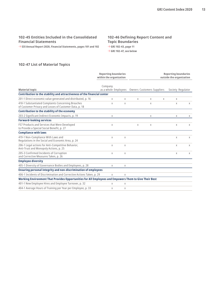# **102-45 Entities Included in the Consolidated Financial Statements**

→ **[SIX Annual Report 2020, Financial Statements, pages 101 and 102](https://www.six-group.com/dam/download/company/report/annual/2020/six-annual-report-2020-en.pdf)** 

### **102-46 Defining Report Content and Topic Boundaries** → **[GRI 102-43, page 11](#page-10-0)** → **GRI 102-47, see below**

# **102-47 List of Material Topics**

|                                                                                                              | <b>Reporting boundaries</b><br>within the organization |   |                                   |   |   | <b>Reporting boundaries</b><br>outside the organization |          |
|--------------------------------------------------------------------------------------------------------------|--------------------------------------------------------|---|-----------------------------------|---|---|---------------------------------------------------------|----------|
| <b>Material topic</b>                                                                                        | Company<br>as a whole Employees                        |   | <b>Owners Customers Suppliers</b> |   |   | Society Regulator                                       |          |
| Contribution to the stability and attractiveness of the financial center                                     |                                                        |   |                                   |   |   |                                                         |          |
| 201-1 Direct economic value generated and distributed, p. 16                                                 | X                                                      | X | X                                 | X | X | X                                                       |          |
| 418-1 Substantiated Complaints Concerning Breaches<br>of Customer Privacy and Losses of Customer Data, p. 18 | X                                                      | X |                                   | X |   | X                                                       | X        |
| Contribution to the stability of the economy                                                                 |                                                        |   |                                   |   |   |                                                         |          |
| 203-2 Significant Indirect Economic Impacts, p. 19                                                           | X                                                      |   |                                   | Χ |   | X                                                       | X        |
| <b>Forward-looking services</b>                                                                              |                                                        |   |                                   |   |   |                                                         |          |
| FS7 Products and Services that Were Developed<br>to Provide a Special Social Benefit, p. 27                  | X                                                      |   | X                                 | X |   | X                                                       | X        |
| <b>Compliance with laws</b>                                                                                  |                                                        |   |                                   |   |   |                                                         |          |
| 419-1 Non-Compliance With Laws and<br>Regulations in the Social and Economic Area, p. 24                     | X                                                      | X |                                   |   |   | X                                                       | X        |
| 206-1 Legal actions for Anti-Competitive Behavior,<br>Anti-Trust and Monopoly Actions, p. 25                 | X                                                      | X |                                   |   |   | X                                                       | X        |
| 205-3 Confirmed Incidents of Corruption<br>and Corrective Measures Taken, p. 26                              | X                                                      | X |                                   |   |   | X                                                       | $\times$ |
| <b>Employee diversity</b>                                                                                    |                                                        |   |                                   |   |   |                                                         |          |
| 405-1 Diversity of Governance Bodies and Employees, p. 28                                                    | Χ                                                      | Χ |                                   |   |   |                                                         |          |
| Ensuring personal integrity and non-discrimination of employees                                              |                                                        |   |                                   |   |   |                                                         |          |
| 406-1 Incidents of Discrimination and Corrective Actions Taken, p. 29                                        | X                                                      | X |                                   |   |   |                                                         |          |
| Working Environment That Provides Opportunities for All Employees and Empowers Them to Give Their Best       |                                                        |   |                                   |   |   |                                                         |          |
| 401-1 New Employee Hires and Employee Turnover, p. 32                                                        | Χ                                                      | X |                                   |   |   |                                                         |          |
| 404-1 Average Hours of Training per Year per Employee, p. 33                                                 | X                                                      | X |                                   |   |   |                                                         |          |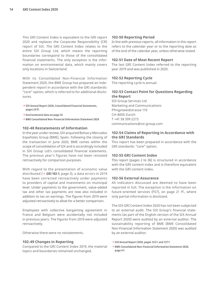This GRI Content Index is equivalent to the GRI report 2020 and replaces the Corporate Responsibility (CR) report of SIX. The GRI Content Index relates to the entire SIX Group Ltd, which means the reporting boundaries correspond to those of the consolidated financial statements. The only exception is the information on environmental data, which mainly covers only locations in Switzerland.

With its Consolidated Non-Financial Information Statement 2020, the BME Group has prepared an independent report in accordance with the GRI standards: "core" option, which is referred to for additional disclosures.

- → **[SIX Annual Report 2020, Consolidated Financial Statements,](https://www.six-group.com/dam/download/company/report/annual/2020/six-annual-report-2020-en.pdf) pages 24 ff.**
- → **[Environmental data on page 35](#page-34-0)**
- → **[BME Consolidated Non-Financial Information Statement 2020](https://www.bolsasymercados.es/docs/inf_legal/ing/economico/2020/NonFinancialInfo_2020.pdf?8UD3Jw)**

#### **102-48 Restatements of Information**

In the year under review, SIX acquired Bolsas y Mercados Españoles Group (BME), Spain. Following the closing of the transaction in June 2020, BME comes within the scope of consolidation of SIX and is accordingly included in SIX Group Ltd's consolidated financial statements. The previous year's figures have not been restated retroactively for comparison purposes.

With regard to the presentation of economic value distributed  $(\rightarrow$  [GRI 102-1](#page-2-0), page 3), a data errors in 2019 have been corrected retroactively under payments to providers of capital and investments on municipal level. Under payments to the government, value-added tax and other tax payments are now also included in addition to tax on earnings. The figures from 2019 were adjusted retroactively to allow for a better comparison.

Employees with collective bargaining agreement in France and Belgium were accidentally not included in previous years. The figures from 2019 were adjusted retroactively.

Otherwise there were no restatements.

#### **102-49 Changes in Reporting**

Compared to the GRI Content Index 2019, the material topics and boundaries remained unchanged.

#### **102-50 Reporting Period**

In line with previous reports, all information in this report refers to the calendar year or to the reporting date as of the end of the calendar year, unless otherwise stated.

#### **102-51 Date of Most Recent Report**

The last GRI Content Index referred to the reporting year 2019 and was published in 2020.

#### **102-52 Reporting Cycle**

The reporting cycle is annual.

#### **102-53 Contact Point for Questions Regarding the Report**

SIX Group Services Ltd Marketing and Communications Pfingstweidstrasse 110 CH-8005 Zurich T +41 58 399 2273 [communications@six-group.com](mailto:communications@six-group.com)

#### **102-54 Claims of Reporting in Accordance with the GRI Standards**

This report has been prepared in accordance with the GRI standards: "core" option.

#### **102-55 GRI Content Index**

This report [\(pages 2](#page-1-0) to 36) is structured in accordance with the GRI content index and is therefore equivalent with the GRI content index.

#### **102-56 External Assurance**

All indicators discussed are deemed to have been reported in full. The exception is the information on future-oriented services (FS7), on [page 21](#page-20-0) ff., where only partial information is disclosed.

The SIX GRI Content Index 2020 has not been subjected to an external audit. The SIX Group's financial statements (as part of the English version of the SIX Annual Report 2020) were audited by an external auditor. The sustainability reporting of BME (BME Consolidated Non-Financial Information Statement 2020) was audited by an external auditor.

- → **[SIX Annual Report 2020, pages 123](https://www.six-group.com/dam/download/company/report/annual/2020/six-annual-report-2020-en.pdf) f. and 137 f.**
- → **[BME Consolidated Non-Financial Information Statement 2020,](https://www.bolsasymercados.es/docs/inf_legal/ing/economico/2020/NonFinancialInfo_2020.pdf?8UD3Jw)  page 4 f.**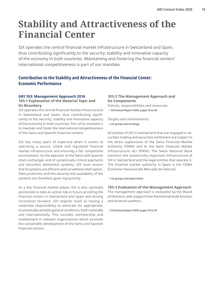# <span id="page-14-0"></span>**Stability and Attractiveness of the Financial Center**

SIX operates the central financial market infrastructure in Switzerland and Spain, thus contributing significantly to the security, stability and innovative capacity of the economy in both countries. Maintaining and fostering the financial centers' international competitiveness is part of our mandate.

# **Contribution to the Stability and Attractiveness of the Financial Center: Economic Performance**

#### **GRI 103: Management Approach 2016**

#### **103-1 Explanation of the Material Topic and Its Boundary**

SIX operates the central financial market infrastructure in Switzerland and Spain, thus contributing significantly to the security, stability and innovative capacity of the economy in both countries. Part of its mandate is to maintain and foster the international competitiveness of the Swiss and Spanish financial centers.

SIX has many years of expertise when it comes to operating a secure, stable and regulated financial market infrastructure and ensuring a fair competitive environment. As the operator of the Swiss and Spanish stock exchanges and of systemically critical payments and securities settlement systems, SIX must ensure that its systems are efficient and run without interruption. Data protection and the security and availability of the systems are therefore given top priority.

As a key financial market player, SIX is also optimally positioned to take an active role in future-proofing the financial centers in Switzerland and Spain and driving innovation forward. SIX regards itself as having a corporate responsibility to advocate for appropriate, economically sensible general conditions, both nationally and internationally. This includes membership and involvement in relevant organizations which promote the sustainable development of the Swiss and Spanish financial centers.

# **103-2 The Management Approach and Its Components**

Policies, responsibilities and resources: → **[SIX Annual Report 2020, pages 18 to 20](https://www.six-group.com/dam/download/company/report/annual/2020/six-annual-report-2020-en.pdf)**

Targets and commitments:

→ **[six-group.com/strategy](https://www.six-group.com/en/company.html#scrollTo=strategie)**

All entities of SIX in Switzerland that are engaged in securities trading and securities settlement are subject to the direct supervision of the Swiss Financial Market Authority FINMA and to the Swiss Financial Market Infrastructure Act (FMIA). The Swiss National Bank monitors the systemically important infrastructure of SIX in Switzerland and the legal entities that operate it. The financial market authority in Spain is the CNMV (Comision Nacional del Mercado de Valores).

→ **[six-group.com/supervision](http://www.six-group.com/supervision)**

### **103-3 Evaluation of the Management Approach**

The management approach is evaluated by the Board of Directors, with support from the Internal Audit function and external auditors.

→ **[SIX Annual Report 2020, pages 18 to 20](https://www.six-group.com/dam/download/company/report/annual/2020/six-annual-report-2020-en.pdf)**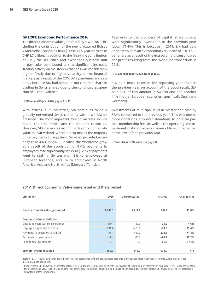#### <span id="page-15-0"></span>**GRI 201: Economic Performance 2016**

The direct economic value generated by SIX in 2020, including the contribution of the newly acquired Bolsas y Mercados Españoles (BME), rose 41% year on year to CHF 1.7 billion. In addition to the first-time contribution of BME, the securities and exchanges business unit in particular contributed to this significant increase. Trading activity on the stock exchanges was considerably higher, firstly due to higher volatility on the financial markets as a result of the COVID-19 pandemic and secondly because SIX had almost a 100% market share in trading in Swiss shares due to the continued suspension of EU equivalence.

#### → **[SIX Annual Report 2020, pages 8 to 15](https://www.six-group.com/dam/download/company/report/annual/2020/six-annual-report-2020-en.pdf)**

With offices in 21 countries, SIX continues to be a globally networked Swiss company with a worldwide presence. The most important foreign markets include Spain, the UK, France and the Benelux countries. However, SIX generates around 70% of its immediate value in Switzerland, where it also makes the majority of its payments to suppliers. Services provided externally rose 4.6% in 2020. Because the workforce grew as a result of the acquisition of BME, payments to employees rose significantly (by 15.4%). 79% of payments went to staff in Switzerland, 18% to employees at European locations, and 3% to employees in North America, Asia and North Africa (Morocco/Tunisia).

Payments to the providers of capital (shareholders) were significantly lower than in the previous year (down 71.4%). This is because in 2019, SIX had paid its shareholders an extraordinary dividend of CHF 17.30 per share as a result of the extraordinary consolidated net profit resulting from the Worldline transaction in 2018.

#### → **[SIX Annual Report 2020, from page 25](https://www.six-group.com/dam/download/company/report/annual/2020/six-annual-report-2020-en.pdf)**

SIX paid more taxes in the reporting year than in the previous year on account of the good result. SIX paid 55% of this amount in Switzerland and another 44% in other European countries (specifically Spain and Germany).

Investments at municipal level in Switzerland rose by 37.1% compared to the previous year. This was due to more donations. However, donations to political parties, membership fees as well as the operating and investment costs of the Swiss Finance Museum remained at the level of the previous year.

#### → **[Swiss Finance Museum, see page 34](#page-33-0)**

| <b>CHF</b> million                  | 2020     | $2019$ (restated) <sup>1</sup> | Change  | Change in % |
|-------------------------------------|----------|--------------------------------|---------|-------------|
|                                     |          |                                |         |             |
| Direct economic value generated     | 1,708.1  | 1,211.0                        | 497.1   | 41.0%       |
| Economic value distributed          |          |                                |         |             |
| Operating costs (external services) | $-479.1$ | $-457.9$                       | $-21.2$ | 4.6%        |
| Employee wages and benefits         | $-546.0$ | $-473.0$                       | $-73.0$ | 15.4%       |
| Payments to providers of capital    | $-128.4$ | $-449.2$                       | 320.8   | $-71.4%$    |
| Payments to government              | $-100.1$ | $-71.9$                        | $-28.2$ | 39.2%       |
| Community investments               | $-2.3$   | $-1.7$                         | $-0.60$ | 37.1%       |
| Economic value retained             | 452.3    | $-242.7$                       | 694.9   | n/a         |

#### **201-1 Direct Economic Value Generated and Distributed**

Basis for data: Figures and consolidated entries are in accordance with the consolidated accounts in the consolidated financial statements. Additional internal information has been used.

<sup>1</sup> Data errors in 2019 have been corrected retroactively under operating costs, payments to providers of capital and investments on municipal level. Under payments to the government, value-added tax and other tax payments are now also included in addition to tax on earnings. The figures from 2019 were adjusted retroactively to allow for a better comparison.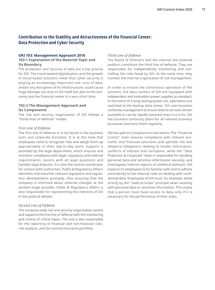# <span id="page-16-0"></span>**Contribution to the Stability and Attractiveness of the Financial Center: Data Protection and Cyber Security**

#### **GRI 103: Management Approach 2016**

#### **103-1 Explanation of the Material Topic and Its Boundary**

The protection and security of data are a top priority for SIX. The trend toward digitalization and the growth in cloud-based solutions mean that cyber security is playing an increasingly important role. Loss of data, and/or any disruption of its infrastructure, could cause huge damage not only to SIX itself but also to the economy and the financial center in a very short time.

### **103-2 The Management Approach and Its Components**

The risk and security organization of SIX follows a "three lines of defense" model:

#### *First Line of Defense*

The first line of defense is to be found in the business units and corporate functions. It is at this level that employees need to recognize risks and weigh them up appropriately in their day-to-day work. Support is provided by the legal department, which ensures and monitors compliance with legal, regulatory and internal requirements, assists with all legal questions and handles legal disputes. It is also the central coordinator for contact with authorities. Public & Regulatory Affairs identifies and classifies relevant legislative and regulatory developments promptly, thus ensuring that the company is informed about external changes at the earliest stage possible. Public & Regulatory Affairs is also responsible for representing the interests of SIX in the political debate.

#### *Second Line of Defense*

The company-wide risk and security organization assists and supports the first line of defense with the monitoring and control of critical topics. The unit is also responsible for the reporting of financial and non-financial risks, risk analysis, and the central insurance portfolio.

#### *Third Line of Defense*

The Board of Directors and the internal and external auditors constitute the third line of defense. They are responsible for independently monitoring and controlling the risks faced by SIX. At the same time, they monitor the internal organization of risk management.

In order to ensure the continuous operation of the systems, the data centers of SIX are equipped with independent and redundant power supplies as standard. In the event of a long-lasting power cut, operations are switched to the backup data center. SIX uses business continuity management to ensure that its services remain available or can be rapidly restored, even in a crisis. SIX has business continuity plans for all relevant business processes and tests them regularly.

SIX has split its Compliance in two teams: The "Financial Crimes" team ensures compliance with relevant economic and financial sanctions and upholds the due diligence obligations relating to insider information, conflicts of interest and corruption, while the "Data Protection & Corporate" team is responsible for handling personal data and sensitive information securely, and investigates internal reports of unethical behavior. SIX expects its employees to be familiar with and to adhere consistently to the internal rules on dealing with confidential data. Employees of SIX must, for example, abide strictly by the "need to know" principle when working with personal data or sensitive information. This states that a person must have access to data only if it is necessary for the performance of their tasks.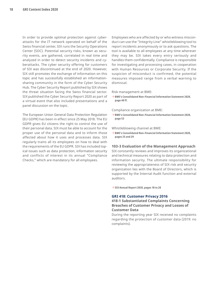<span id="page-17-0"></span>In order to provide optimal protection against cyberattacks for the IT network operated on behalf of the Swiss financial center, SIX runs the Security Operations Center (SOC). Potential security risks, known as security events, are gathered, correlated in real time and analyzed in order to detect security incidents and cyberattacks. The cyber security offering for customers of SIX was discontinued at the end of 2020. However, SIX still promotes the exchange of information on this topic and has successfully established an informationsharing community in the form of the Cyber Security Hub. The Cyber Security Report published by SIX shows the threat situation facing the Swiss financial sector. SIX published the Cyber Security Report 2020 as part of a virtual event that also included presentations and a panel discussion on the topic.

The European Union General Data Protection Regulation (EU GDPR) has been in effect since 25 May 2018. The EU GDPR gives EU citizens the right to control the use of their personal data. SIX must be able to account for the proper use of the personal data and to inform those affected about how it uses and processes data. SIX regularly trains all its employees on how to deal with the requirements of the EU GDPR. SIX has included topical issues such as data protection, information security and conflicts of interest in its annual "Compliance Checks," which are mandatory for all employees.

Employees who are affected by or who witness misconduct can use the "Integrity Line" whistleblowing tool to report incidents anonymously or to ask questions. The tool is available to all employees at any time wherever they may be. SIX takes every entry seriously and handles them confidentially. Compliance is responsible for investigating and processing cases, in cooperation with Human Resources or Corporate Security. If the suspicion of misconduct is confirmed, the potential measures imposed range from a verbal warning to dismissal.

Risk management at BME:

→ **[BME's Consolidated Non-Financial Information Statement 2020,](https://www.bolsasymercados.es/docs/inf_legal/ing/economico/2020/NonFinancialInfo_2020.pdf?8UD3Jw)  page 40 ff.**

Compliance organization at BME:

→ **[BME's Consolidated Non-Financial Information Statement 2020,](https://www.bolsasymercados.es/docs/inf_legal/ing/economico/2020/NonFinancialInfo_2020.pdf?8UD3Jw)  page 53**

#### Whistleblowing channel at BME:

→ **[BME's Consolidated Non-Financial Information Statement 2020,](https://www.bolsasymercados.es/docs/inf_legal/ing/economico/2020/NonFinancialInfo_2020.pdf?8UD3Jw)  pages 25 and 29**

#### **103-3 Evaluation of the Management Approach**

SIX constantly reviews and improves its organizational and technical measures relating to data protection and information security. The ultimate responsibility for reviewing the appropriateness of SIX risk and security organization lies with the Board of Directors, which is supported by the Internal Audit function and external auditors.

→ **[SIX Annual Report 2020, pages 18 to 20](https://www.six-group.com/dam/download/company/report/annual/2020/six-annual-report-2020-en.pdf)**

#### **GRI 418: Customer Privacy 2016**

#### **418-1 Substantiated Complaints Concerning Breaches of Customer Privacy and Losses of Customer Data**

During the reporting year SIX received no complaints regarding the protection of customer data (2019: no complaints).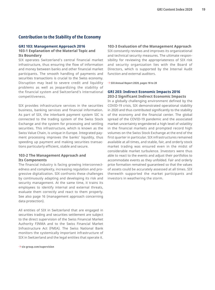# <span id="page-18-0"></span>**Contribution to the Stability of the Economy**

#### **GRI 103: Management Approach 2016**

#### **103-1 Explanation of the Material Topic and Its Boundary**

SIX operates Switzerland's central financial market infrastructure, thus ensuring the flow of information and money between banks and other financial market participants. The smooth handling of payments and securities transactions is crucial to the Swiss economy. Disruption may lead to severe credit and liquidity problems as well as jeopardizing the stability of the financial system and Switzerland's international competitiveness.

SIX provides infrastructure services in the securities business, banking services and financial information. As part of SIX, the interbank payment system SIC is connected to the trading system of the Swiss Stock Exchange and the system for processing and settling securities. This infrastructure, which is known as the Swiss Value Chain, is unique in Europe. Integrated payment processing improves the banks' liquidity, thus speeding up payment and making securities transactions particularly efficient, stable and secure.

#### **103-2 The Management Approach and Its Components**

The financial industry is facing growing interconnectedness and complexity, increasing regulation and progressive digitalization. SIX confronts these challenges by continuously adapting and developing its risk and security management. At the same time, it trains its employees to identify internal and external threats, evaluate them correctly and react to them properly. See also [page 16](#page-15-0) (management approach concerning data protection).

All entities of SIX in Switzerland that are engaged in securities trading and securities settlement are subject to the direct supervision of the Swiss Financial Market Authority FINMA and to the Swiss Financial Market Infrastructure Act (FMIA). The Swiss National Bank monitors the systemically important infrastructure of SIX in Switzerland and the legal entities that operate it.

→ **[six-group.com/supervision](http://www.six-group.com/supervision)**

#### **103-3 Evaluation of the Management Approach**

SIX constantly reviews and improves its organizational and technical security measures. The ultimate responsibility for reviewing the appropriateness of SIX risk and security organization lies with the Board of Directors, which is supported by the Internal Audit function and external auditors.

→ **[SIX Annual Report 2020, pages 18 to 20](https://www.six-group.com/dam/download/company/report/annual/2020/six-annual-report-2020-en.pdf)**

#### **GRI 203: Indirect Economic Impacts 2016**

**203-2 Significant Indirect Economic Impacts** In a globally challenging environment defined by the COVID-19 crisis, SIX demonstrated operational stability in 2020 and thus contributed significantly to the stability of the economy and the financial center. The global spread of the COVID-19 pandemic and the associated market uncertainty engendered a high level of volatility in the financial markets and prompted record high volumes on the Swiss Stock Exchange at the end of the first quarter in particular. SIX infrastructures remained available at all times, and stable, fair, and orderly stock market trading was ensured even in the midst of considerable market turbulence. Investors were thus able to react to the events and adjust their portfolios to accommodate events as they unfolded. Fair and orderly price formation remained guaranteed so that the values of assets could be accurately assessed at all times. SIX therewith supported the market participants and investors in weathering the storm.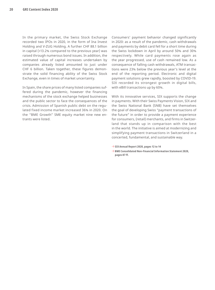In the primary market, the Swiss Stock Exchange recorded two IPOs in 2020, in the form of Ina Invest Holding and V-ZUG Holding. A further CHF 88.1 billion in capital (+13.2% compared to the previous year) was raised through numerous bond issues. In addition, the estimated value of capital increases undertaken by companies already listed amounted to just under CHF 6 billion. Taken together, these figures demonstrate the solid financing ability of the Swiss Stock Exchange, even in times of market uncertainty.

In Spain, the share prices of many listed companies suffered during the pandemic, however the financing mechanisms of the stock exchange helped businesses and the public sector to face the consequences of the crisis. Admission of Spanish public debt on the regulated fixed income market increased 36% in 2020. On the "BME Growth" SME equity market nine new entrants were listed.

Consumers' payment behavior changed significantly in 2020: as a result of the pandemic, cash withdrawals and payments by debit card fell for a short time during the Swiss lockdown in April by around 50% and 30% respectively. While card payments rose again as the year progressed, use of cash remained low. As a consequence of falling cash withdrawals, ATM transactions were 23% below the previous year's level at the end of the reporting period. Electronic and digital payment solutions grew rapidly, boosted by COVID-19. SIX recorded its strongest growth in digital bills, with eBill transactions up by 60%.

With its innovative services, SIX supports the change in payments. With their Swiss Payments Vision, SIX and the Swiss National Bank (SNB) have set themselves the goal of developing Swiss "payment transactions of the future" in order to provide a payment experience for consumers, (retail) merchants, and firms in Switzerland that stands up in comparison with the best in the world. The initiative is aimed at modernizing and simplifying payment transactions in Switzerland in a concerted, fundamental, and sustainable way.

- $\rightarrow$  [SIX Annual Report 2020, pages 12 to 14](https://www.six-group.com/dam/download/company/report/annual/2020/six-annual-report-2020-en.pdf)
- → **[BME Consolidated Non-Financial Information Statement 2020,](https://www.bolsasymercados.es/docs/inf_legal/ing/economico/2020/NonFinancialInfo_2020.pdf?8UD3Jw)  pages 87 ff.**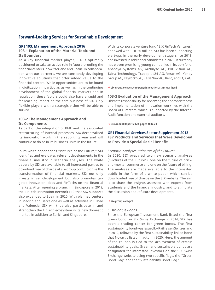# <span id="page-20-0"></span>**Forward-Looking Services for Sustainable Development**

#### **GRI 103: Management Approach 2016**

#### **103-1 Explanation of the Material Topic and Its Boundary**

As a key financial market player, SIX is optimally positioned to take an active role in future-proofing the financial centers in Switzerland and Spain. In collaboration with our partners, we are constantly developing innovative solutions that offer added value to the financial centers. While opportunities are to be found in digitization in particular, as well as in the continuing development of the global financial markets and in regulation, these factors could also have a rapid and far-reaching impact on the core business of SIX. Only flexible players with a strategic vision will be able to survive.

#### **103-2 The Management Approach and Its Components**

As part of the integration of BME and the associated restructuring of internal processes, SIX decentralized its innovation work in the reporting year and will continue to do so in its business units in the future.

In its white paper series "Pictures of the Future," SIX identifies and evaluates relevant developments in the financial industry in scenario analyses. The white papers by SIX are available to all interested parties to download free of charge at [six-group.com.](http://www.six-group.com) To drive the transformation of financial markets, SIX not only invests in self-development but also promotes targeted innovation ideas and FinTechs on the financial markets. After opening a branch in Singapore in 2019, the FinTech innovation network F10 that SIX supports also expanded to Spain in 2020. With planned centers in Madrid and Barcelona as well as activities in Bilbao and Valencia, SIX will thus also participate in and strengthen the FinTech ecosystem in its new domestic market, in addition to Zurich and Singapore.

With its corporate venture fund "SIX FinTech Ventures" endowed with CHF 50 million, SIX has been supporting start-ups in the early development stage since 2018, and invested in additional candidates in 2020. It currently has eleven promising young companies in its portfolio: Anapaya Systems AG, Archilyse AG, PXL Vision AG, Taina Technology, Tradeplus24 AG, Vestr AG, Yokoy Group AG, Keyrock S.A., RaiseNow AG, Relio, and FQX AG.

→ **[six-group.com/en/company/innovation/start-ups.html](https://www.six-group.com/en/company/innovation/start-ups.html)**

#### **103-3 Evaluation of the Management Approach**

Ultimate responsibility for reviewing the appropriateness and implementation of innovation work lies with the Board of Directors, which is supported by the Internal Audit function and external auditors.

→ **[SIX Annual Report 2020, pages 18 to 20](https://www.six-group.com/dam/download/company/report/annual/2020/six-annual-report-2020-en.pdf)**

#### **GRI Financial Services Sector Supplement 2013 FS7 Products and Services that Were Developed to Provide a Special Social Benefit**

#### *Scenario-Analyses: "Pictures of the Future"*

In 2020, SIX prepared two new scenario analyses ("Pictures of the Future"): one on the future of brickand-mortar commerce and one on the future of billing. The analyses are made available to the interested public in the form of a white paper, which can be downloaded free of charge on the SIX website. The aim is to share the insights assessed with experts from academia and the financial industry, and to stimulate the discussion about future developments.

#### → **[six-group.com/pof](http://www.six-group.com/pof)**

#### *Sustainable Bonds*

Since the European Investment Bank listed the first green bond on SIX Swiss Exchange in 2014, SIX has been a trading center for green bonds. The first sustainability bond was issued by Raiffeisen Switzerland in 2019, followed by the first sustainability-linked bond that Novartis listed in autumn 2020. Here, the amount of the coupon is tied to the achievement of certain sustainability goals. Green and sustainable bonds are designated for interested investors on the SIX Swiss Exchange website using two specific flags, the "Green Bond Flag" and the "Sustainability Bond Flag."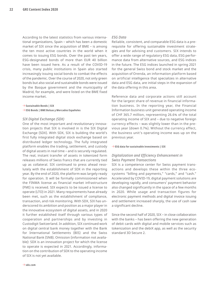According to the latest statistics from various international organizations, Spain – which has been a domestic market of SIX since the acquisition of BME – is among the ten most active countries in the world when it comes to issuing ESG bonds. Over the past ten years, ESG-designated bonds of more than EUR 40 billion have been issued here. As a result of the COVID-19 crisis, many public institutions in Spain also started increasingly issuing social bonds to combat the effects of the pandemic. Over the course of 2020, not only green bonds but also social and sustainable bonds were issued by the Basque government and the municipality of Madrid, for example, and were listed on the BME fixed income market.

→ **[Sustainable Bonds | SIX](https://www.six-group.com/en/products-services/the-swiss-stock-exchange/market-data/bonds/green-bonds.html)**  → **[ESG Bonds | BME Bolsas y Mercados Españoles](https://www.bolsasymercados.es/ing/Sustainability/Sustainable-Finance/ESG-Bonds)**

#### *SIX Digital Exchange (SDX)*

One of the most important and revolutionary innovation projects that SIX is involved in is the SIX Digital Exchange (SDX). With SDX, SIX is building the world's first fully integrated digital stock exchange based on distributed ledger technology. The fully integrated platform enables the trading, settlement, and custody of digital assets in real time – and is securely regulated. The real, instant transfer of assets in tokenized form releases millions of Swiss francs that are currently tied up as collateral. SIX continued to press ahead resolutely with the establishment of SDX in the reporting year. By the end of 2020, the platform was largely ready for operation. It will be formally commissioned when the FINMA license as financial market infrastructure (FMI) is received. SIX expects to be issued a license to operate (LTO) in 2021. Many requirements have already been met, such as the establishment of compliance, transaction, and risk monitoring. With SDX, SIX has underscored its ambition and position as a major player in the innovative ecosystem of digital assets, and in 2020 it further established itself through various types of cooperation and partnerships and by investing in Custodigit Switzerland. In addition, SIX continued work on digital central bank money together with the Bank for International Settlements (BIS) and the Swiss National Bank (SNB). Omission (information not available): SDX is an innovation project for which the license to operate is expected in 2021. Accordingly, information on the contribution of SDX to the operating income of SIX is not yet available.

#### *ESG Data*

Reliable, consistent, and comparable ESG data is a prerequisite for offering sustainable investment strategies and for advising end customers. SIX intends to offer a wide range of regulatory ESG data, ESG performance data from alternative sources, and ESG indices in the future. The ESG indices launched in spring 2021 for the general Swiss bond and stock market and the acquisition of Orenda, an information platform based on artificial intelligence that specializes in alternative data and ESG data, are initial steps in the expansion of the data offering in this area.

Reference data and corporate actions still account for the largest share of revenue in financial information business. In the reporting year, the Financial Information business unit generated operating income of CHF 365.7 million, representing 26.6% of the total operating income of SIX and – due to negative foreign currency effects – was slightly lower than in the previous year (down 0.7%). Without the currency effect, the business unit's operating income was up on the previous year.

#### → **[ESG data for sustainable investments | SIX](https://www.six-group.com/en/products-services/financial-information/esg-data.html)**

#### *Digitalization and Efficiency Enhancement in Swiss Payment Transactions*

SIX is a competence center for Swiss payment transactions and develops these within the three ecosystems "billing and payments," "cards," and "cash." Accelerated by COVID-19, digital payment solutions are developing rapidly, and consumers' payment behavior also changed significantly in the space of a few months in 2020. While usage and transaction figures for electronic payment methods and digital invoice issuing and settlement increased sharply, the use of cash saw a significant decline.

Since the second half of 2020, SIX – in close collaboration with the banks – has been offering the new generation of debit cards with digital and mobile services such as tokenization and the debiX app, as well as the security standard 3D Secure 2.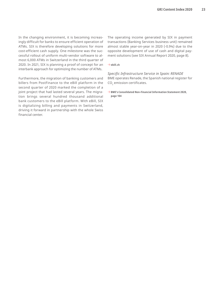In the changing environment, it is becoming increasingly difficult for banks to ensure efficient operation of ATMs. SIX is therefore developing solutions for more cost-efficient cash supply. One milestone was the successful rollout of uniform multi-vendor software to almost 6,000 ATMs in Switzerland in the third quarter of 2020. In 2021, SIX is planning a proof of concept for an interbank approach for optimizing the number of ATMs.

Furthermore, the migration of banking customers and billers from PostFinance to the eBill platform in the second quarter of 2020 marked the completion of a joint project that had lasted several years. The migration brings several hundred thousand additional bank customers to the eBill platform. With eBill, SIX is digitalizing billing and payments in Switzerland, driving it forward in partnership with the whole Swiss financial center.

The operating income generated by SIX in payment transactions (Banking Services business unit) remained almost stable year-on-year in 2020 (-0.9%) due to the opposite development of use of cash and digital payment solutions (see SIX Annual Report 2020, page 8).

#### → **[ebill.ch](http://www.ebill.ch)**

*Specific Infrastructure Service in Spain: RENADE* BME operates Renade, the Spanish national register for  $\mathsf{CO}_2$  emission certificates.

→ **[BME's Consolidated Non-Financial Information Statement 2020,](https://www.bolsasymercados.es/docs/inf_legal/ing/economico/2020/NonFinancialInfo_2020.pdf?8UD3Jw)  page 104**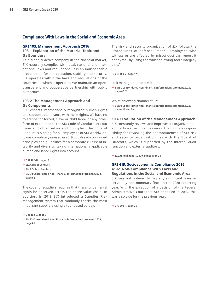# <span id="page-23-0"></span>**Compliance With Laws in the Social and Economic Area**

#### **GRI 103: Management Approach 2016**

### **103-1 Explanation of the Material Topic and Its Boundary**

As a globally active company in the financial market, SIX naturally complies with local, national and international laws and regulations. It is an indispensable precondition for its reputation, stability and security. SIX operates within the laws and regulations of the countries in which it operates. We maintain an open, transparent and cooperative partnership with public authorities.

#### **103-2 The Management Approach and Its Components**

SIX respects internationally recognized human rights and supports compliance with these rights. We have no tolerance for forced, slave or child labor or any other form of exploitation. The SIX Code of Conduct sets out these and other values and principles. The Code of Conduct is binding for all employees of SIX worldwide. It was completely revised in 2019 but already contained principles and guidelines for a corporate culture of integrity and diversity, taking internationally applicable human and labor rights into account.

- → **[GRI 102-16, page 10](#page-9-0)**
- → **[SIX Code of Conduct](https://www.six-group.com/dam/download/company/publications/six-code-of-conduct-en.pdf)**
- → **[BME Code of Conduct](https://www.bolsasymercados.es/docs/inf_legal/ing/gobierno/BME_Code_of_Conduct.pdf)**
- → **[BME's Consolidated Non-Financial Information Statement 2020,](https://www.bolsasymercados.es/docs/inf_legal/ing/economico/2020/NonFinancialInfo_2020.pdf?8UD3Jw) page 66**

The code for suppliers requires that these fundamental rights be observed across the entire value chain. In addition, in 2019 SIX introduced a Supplier Risk Management system that randomly checks the most important suppliers using a tool-based survey.

→ **[GRI 102-9, page 6](#page-5-0)**

→ **[BME's Consolidated Non-Financial Information Statement 2020,](https://www.bolsasymercados.es/docs/inf_legal/ing/economico/2020/NonFinancialInfo_2020.pdf?8UD3Jw) page 66**

The risk and security organization of SIX follows the "three lines of defense" model. Employees who witness or are affected by misconduct can report it anonymously using the whistleblowing tool "Integrity Line."

→ **[GRI 103-2, page 17](#page-16-0) f.**

Risk management at BME:

→ **[BME's Consolidated Non-Financial Information Statement 2020,](https://www.bolsasymercados.es/docs/inf_legal/ing/economico/2020/NonFinancialInfo_2020.pdf?8UD3Jw)  page 40 ff.**

Whistleblowing channel at BME:

→ **[BME's Consolidated Non-Financial Information Statement 2020,](https://www.bolsasymercados.es/docs/inf_legal/ing/economico/2020/NonFinancialInfo_2020.pdf?8UD3Jw)  pages 25 and 29**

#### **103-3 Evaluation of the Management Approach**

SIX constantly reviews and improves its organizational and technical security measures. The ultimate responsibility for reviewing the appropriateness of SIX risk and security organization lies with the Board of Directors, which is supported by the Internal Audit function and external auditors.

→ **[SIX Annual Report 2020, pages 18 to 20](https://www.six-group.com/dam/download/company/report/annual/2020/six-annual-report-2020-en.pdf)**

#### **GRI 419: Socioeconomic Compliance 2016 419-1 Non-Compliance With Laws and Regulations in the Social and Economic Area**

SIX was not ordered to pay any significant fines or serve any non-monetary fines in the 2020 reporting year. With the exception of a decision of the Federal Administrative Court that SIX appealed in 2019, this was also true for the previous year.

→ **[GRI 206-1, page 25](#page-24-0)**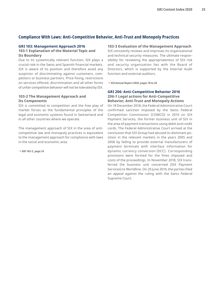# <span id="page-24-0"></span>**Compliance With Laws: Anti-Competitive Behavior, Anti-Trust and Monopoly Practices**

#### **GRI 103: Management Approach 2016**

#### **103-1 Explanation of the Material Topic and Its Boundary**

Due to its systemically relevant function, SIX plays a crucial role in the Swiss and Spanish financial markets. SIX is aware of its position and therefore avoid any suspicion of discriminating against customers, competitors or business partners. Price-fixing, restrictions on services offered, discrimination and all other forms of unfair competitive behavior will not be tolerated by SIX.

# **103-2 The Management Approach and Its Components**

SIX is committed to competition and the free play of market forces as the fundamental principles of the legal and economic systems found in Switzerland and in all other countries where we operate.

The management approach of SIX in the area of anticompetitive law and monopoly practices is equivalent to the management approach for compliance with laws in the social and economic area.

→ **[GRI 103-2, page 24](#page-23-0)**

#### **103-3 Evaluation of the Management Approach**

SIX constantly reviews and improves its organizational and technical security measures. The ultimate responsibility for reviewing the appropriateness of SIX risk and security organization lies with the Board of Directors, which is supported by the Internal Audit function and external auditors.

→ **[SIX Annual Report 2020, pages 18 to 20](https://www.six-group.com/dam/download/company/report/annual/2020/six-annual-report-2020-en.pdf)**

#### **GRI 206: Anti-Competitive Behavior 2016 206-1 Legal actions for Anti-Competitive Behavior, Anti-Trust and Monopoly Actions**

On 18 December 2018, the Federal Administrative Court confirmed sanction imposed by the Swiss Federal Competition Commission (COMCO) in 2010 on SIX Payment Services, the former business unit of SIX in the area of payment transactions using debit and credit cards. The Federal Administrative Court arrived at the conclusion that SIX Group had abused its dominant position in the relevant markets in the years 2005 and 2006 by failing to provide external manufacturers of payment terminals with interface information for dynamic currency conversion (DCC). Corresponding provisions were formed for the fines imposed and costs of the proceedings. In November 2018, SIX transferred the business unit concerned (SIX Payment Services) to Worldline. On 20 June 2019, the parties filed an appeal against the ruling with the Swiss Federal Supreme Court.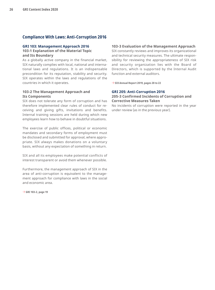# <span id="page-25-0"></span>**Compliance With Laws: Anti-Corruption 2016**

#### **GRI 103: Management Approach 2016**

#### **103-1 Explanation of the Material Topic and Its Boundary**

As a globally active company in the financial market, SIX naturally complies with local, national and international laws and regulations. It is an indispensable precondition for its reputation, stability and security. SIX operates within the laws and regulations of the countries in which it operates.

#### **103-2 The Management Approach and Its Components**

SIX does not tolerate any form of corruption and has therefore implemented clear rules of conduct for receiving and giving gifts, invitations and benefits. Internal training sessions are held during which new employees learn how to behave in doubtful situations.

The exercise of public offices, political or economic mandates and secondary forms of employment must be disclosed and submitted for approval, where appropriate. SIX always makes donations on a voluntary basis, without any expectation of something in return.

SIX and all its employees make potential conflicts of interest transparent or avoid them whenever possible.

Furthermore, the management approach of SIX in the area of anti-corruption is equivalent to the management approach for compliance with laws in the social and economic area.

→ **[GRI 103-2, page 19](#page-18-0)**

#### **103-3 Evaluation of the Management Approach**

SIX constantly reviews and improves its organizational and technical security measures. The ultimate responsibility for reviewing the appropriateness of SIX risk and security organization lies with the Board of Directors, which is supported by the Internal Audit function and external auditors.

→ **[SIX Annual Report 2019, pages 20 to 22](https://www.six-group.com/dam/download/company/report/annual/2019/six-annual-report-2019-en.pdf)**

### **GRI 205: Anti-Corruption 2016**

#### **205-3 Confirmed Incidents of Corruption and Corrective Measures Taken**

No incidents of corruption were reported in the year under review (as in the previous year).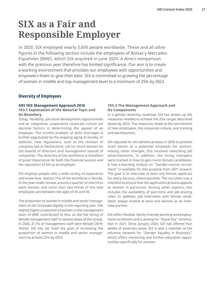# <span id="page-26-0"></span>**SIX as a Fair and Responsible Employer**

In 2020, SIX employed nearly 3,600 people worldwide. These and all other figures in the following section include the employees of Bolsas y Mercados Españoles (BME), which SIX acquired in June 2020. A direct comparison with the previous year therefore has limited significance. Our aim is to create a working environment that provides our employees with opportunities and empowers them to give their best. SIX is committed to growing the percentage of women in middle and top management level to a minimum of 25% by 2023.

# **Diversity of Employees**

#### **GRI 103: Management Approach 2016 103-1 Explanation of the Material Topic and Its Boundary**

Today, flexibility, personal development opportunities and an integrative, cooperative corporate culture are decisive factors in determining the appeal of an employer. The current problem of skills shortages is further aggravated by the ongoing aging of society. In addition, new regulations, such as the revision of company law in Switzerland, call for more women on the boards of directors and management boards of companies. The diversity of the workforce is therefore of great importance for both the financial success and the reputation of SIX as an employer.

SIX employs people with a wide variety of experience and know-how. Almost 31% of the workforce is female. In the year under review, around a quarter of new hires were female, and more than two-thirds of the new employees are between the ages of 30 and 50.

The proportion of women in middle and senior management at SIX increased slightly in the reporting year. The slightly higher proportion of women in the management team of BME contributed to this, as did the hiring of female management staff in various areas of the Group. In 2020, 21.7% of management staff were female (2019: 18.6%). SIX has set itself the goal of increasing the proportion of women in middle and senior management to at least 25% by 2023.

### **103-2 The Management Approach and Its Components**

In a gender diversity roadmap, SIX has drawn up the measures needed to achieve the 25% target described above by 2023. The measures relate to the recruitment of new employees, the corporate culture, and training and development.

SIX adjusted its recruitment process in 2020 to position itself better as a potential employer for women. Among other changes, this involved rewording job advertisements. In addition, the hiring managers were trained in how to gain more female candidates. A new e-learning module on "Gender-neutral recruitment" is available for this purpose from 2021 onward. The goal is to interview at least one female applicant for every vacancy, where possible. The recruiters use a checklist to ensure that the application process appeals to women in particular. Among other aspects, this includes the availability of part-time and job-sharing roles. In addition, job interviews with female candidates always involve at least one woman as an interview partner.

SIX offers flexible, family-friendly working and employment conditions and is aiming for "Equal Pay" certification in 2021. Since January 2020, SIX has offered four weeks of paternity leave. SIX is also a member of the Advance network for "Gender Equality in Business," which offers mentoring and further education opportunities specifically for women.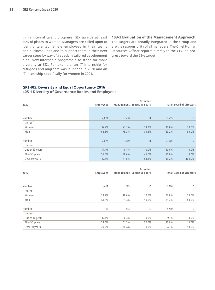<span id="page-27-0"></span>In its internal talent programs, SIX awards at least 30% of places to women. Managers are called upon to identify talented female employees in their teams and business units and to support them in their next career steps by way of a specially tailored development plan. New internship programs also stand for more diversity at SIX. For example, an IT internship for refugees and migrants was launched in 2020 and an IT internship specifically for women in 2021.

#### **103-3 Evaluation of the Management Approach**

The targets are broadly integrated in the Group and are the responsibility of all managers. The Chief Human Resources Officer reports directly to the CEO on progress toward the 25% target.

# **GRI 405: Diversity and Equal Opportunity 2016**

### **405-1 Diversity of Governance Bodies and Employees**

|                 |                  |       | <b>Extended</b>            |       |                                 |
|-----------------|------------------|-------|----------------------------|-------|---------------------------------|
| 2020            | <b>Employees</b> |       | Management Executive Board |       | <b>Total Board of Directors</b> |
|                 |                  |       |                            |       |                                 |
|                 |                  |       |                            |       |                                 |
| Number          | 2.074            | 1,580 | 11                         | 3,665 | 10                              |
| thereof         |                  |       |                            |       |                                 |
| Women           | 37.7%            | 21.7% | 18.2%                      | 30.8% | 20.0%                           |
| Men             | 62.3%            | 78.3% | 81.8%                      | 69.2% | 80.0%                           |
|                 |                  |       |                            |       |                                 |
| Number          | 2,074            | 1,580 | 11                         | 3,665 | 10                              |
| thereof         |                  |       |                            |       |                                 |
| Under 30 years  | 17.4%            | 0.4%  | 0.0%                       | 10.0% | 0.0%                            |
| $30 - 50$ years | 55.5%            | 58.6% | 45.5%                      | 56.8% | 0.0%                            |
| Over 50 years   | 27.1%            | 41.0% | 54.6%                      | 33.2% | 100.0%                          |

| 2019            | <b>Employees</b> |       | Extended<br>Management Executive Board |       | <b>Total Board of Directors</b> |
|-----------------|------------------|-------|----------------------------------------|-------|---------------------------------|
|                 |                  |       |                                        |       |                                 |
| Number          | 1,417            | 1,283 | 10                                     | 2,710 | 10                              |
| thereof         |                  |       |                                        |       |                                 |
| Women           | 38.2%            | 18.6% | 10.0%                                  | 28.8% | 20.0%                           |
| Men             | 61.8%            | 81.4% | 90.0%                                  | 71.2% | 80.0%                           |
| Number          | 1,417            | 1,283 | 10                                     | 2,710 | 10                              |
| thereof         |                  |       |                                        |       |                                 |
| Under 30 years  | 17.1%            | 0.4%  | $0.0\%$                                | 9.1%  | $0.0\%$                         |
| $30 - 50$ years | 53.0%            | 61.2% | 30.0%                                  | 56.8% | 10.0%                           |
| Over 50 years   | 29.9%            | 38.4% | 70.0%                                  | 34.1% | 90.0%                           |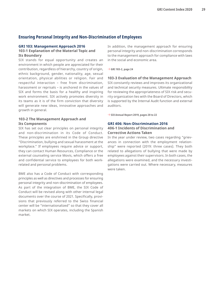# <span id="page-28-0"></span>**Ensuring Personal Integrity and Non-Discrimination of Employees**

#### **GRI 103: Management Approach 2016**

#### **103-1 Explanation of the Material Topic and Its Boundary**

SIX stands for equal opportunity and creates an environment in which people are appreciated for their contribution, regardless of hierarchy, country of origin, ethnic background, gender, nationality, age, sexual orientation, physical abilities or religion. Fair and respectful interaction – free from discrimination, harassment or reprisals – is anchored in the values of SIX and forms the basis for a healthy and inspiring work environment. SIX actively promotes diversity in its teams as it is of the firm conviction that diversity will generate new ideas, innovative approaches and growth in general.

#### **103-2 The Management Approach and Its Components**

SIX has set out clear principles on personal integrity and non-discrimination in its Code of Conduct. These principles are enshrined in the Group directive "Discrimination, bullying and sexual harassment at the workplace." If employees require advice or support, they can contact Human Resources, Compliance or the external counseling service Movis, which offers a free and confidential service to employees for both workrelated and personal problems.

BME also has a Code of Conduct with corresponding principles as well as directives and processes for ensuring personal integrity and non-discrimination of employees. As part of the integration of BME, the SIX Code of Conduct will be revised along with other internal legal documents over the course of 2021. Specifically, provisions that previously referred to the Swiss financial center will be "internationalized" so that they cover all markets on which SIX operates, including the Spanish market.

In addition, the management approach for ensuring personal integrity and non-discrimination corresponds to the management approach for compliance with laws in the social and economic area.

→ **[GRI 103-2, page 24](#page-23-0)**

#### **103-3 Evaluation of the Management Approach**

SIX constantly reviews and improves its organizational and technical security measures. Ultimate responsibility for reviewing the appropriateness of SIX risk and security organization lies with the Board of Directors, which is supported by the Internal Audit function and external auditors.

→ **[SIX Annual Report 2019, pages 20 to 22](https://www.six-group.com/dam/download/company/report/annual/2019/six-annual-report-2019-en.pdf)**

#### **GRI 406: Non-Discrimination 2016 406-1 Incidents of Discrimination and Corrective Actions Taken**

In the year under review, two cases regarding "grievances in connection with the employment relationship" were reported (2019: three cases). They both related to allegations of bullying that were made by employees against their supervisors. In both cases, the allegations were examined, and the necessary investigations were carried out. Where necessary, measures were taken.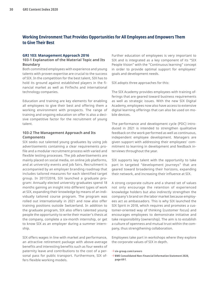# <span id="page-29-0"></span>**Working Environment That Provides Opportunities for All Employees and Empowers Them to Give Their Best**

#### **GRI 103: Management Approach 2016**

#### **103-1 Explanation of the Material Topic and Its Boundary**

Both committed employees with experience and young talents with proven expertise are crucial to the success of SIX. In the competition for the best talent, SIX has to hold its ground against established players in the financial market as well as FinTechs and international technology companies.

Education and training are key elements for enabling all employees to give their best and offering them a working environment with prospects. The range of training and ongoing education on offer is also a decisive competitive factor for the recruitment of young talent.

#### **103-2 The Management Approach and Its Components**

SIX seeks out talented young graduates by using job advertisements containing a clear requirements profile and a modular recruitment process with varied and flexible testing processes. The job advertisements are mainly placed on social media, on online job platforms, and at university events and job fairs. Recruitment is accompanied by an employer branding roadmap that includes tailored measures for each identified target group. In 2017/2018, SIX launched a graduate program: Annually elected university graduates spend 18 months gaining an insight into different types of work at SIX, expanding their knowledge by means of an individually tailored course program. The program was rolled out internationally in 2021 and now also offer training positions outside Switzerland. In addition to the graduate program, SIX also offers talented young people the opportunity to write their master's thesis at the company, complete a six-month internship, or get to know SIX as an employer during a summer internship.

SIX offers wages in line with market and performance, an attractive retirement package with above-average benefits and interesting benefits such as four weeks of paternity leave and contributions to the cost of a personal pass for public transport. Furthermore, SIX offers flexible working models.

Further education of employees is very important to SIX and is integrated as a key component of its "SIX People Vision" with the "Continuous learning" concept in order to provide optimal support for employees' goals and development needs.

SIX adopts three approaches for this:

The SIX Academy provides employees with training offerings that are geared toward business requirements as well as strategic issues. With the new SIX Digital Academy, employees now also have access to extensive digital learning offerings that can also be used on mobile devices.

The performance and development cycle (PDC) introduced in 2021 is intended to strengthen qualitative feedback on the work performed as well as continuous, independent employee development. Managers are given support with addressing their employees' commitment to learning in development and feedback interviews throughout the year.

SIX supports key talent with the opportunity to take part in targeted "development journeys" that are geared toward broadening their horizons, expanding their network, and increasing their influence at SIX.

A strong corporate culture and a shared set of values not only encourage the retention of experienced knowledge holders but also indirectly strengthen the company's brand on the labor market because employees act as ambassadors. This is why SIX launched the SIX Spirit in 2018, which requires and promotes a customer-oriented way of thinking (customer focus) and encourages employees to demonstrate initiative and take responsibility (ownership). The aim is to establish a culture of openness and mutual trust within the company, thus strengthening collaboration.

Employees take part in workshops where they explore the corporate values of SIX in depth.

- → **[six-group.com/careers](http://www.six-group.com/careers)**
- → **[BME Consolidated Non-Financial Information Statement 2020,](https://www.bolsasymercados.es/docs/inf_legal/ing/economico/2020/NonFinancialInfo_2020.pdf?8UD3Jw)  page 69 f.**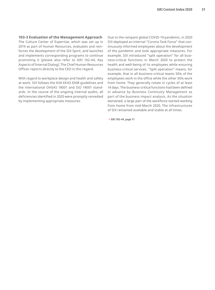#### **103-3 Evaluation of the Management Approach**

The Culture Center of Expertise, which was set up in 2019 as part of Human Resources, evaluates and reinforces the development of the SIX Spirit, and launches and implements corresponding programs to continue promoting it (please also refer to GRI 102-44, Key Aspects of Internal Dialog). The Chief Human Resources Officer reports directly to the CEO in this regard.

With regard to workplace design and health and safety at work, SIX follows the ASA EKAS 6508 guidelines and the international OHSAS 18001 and ISO 14001 standards. In the course of the ongoing internal audits, all deficiencies identified in 2020 were promptly remedied by implementing appropriate measures.

Due to the rampant global COVID-19 pandemic, in 2020 SIX deployed an internal "Corona Task Force" that continuously informed employees about the development of the pandemic and took appropriate measures. For example, SIX introduced "split operation" for all business-critical functions in March 2020 to protect the health and well-being of its employees while ensuring business-critical services. "Split operation" means, for example, that in all business-critical teams 50% of the employees work in the office while the other 50% work from home. They generally rotate in cycles of at least 14 days. The business-critical functions had been defined in advance by Business Continuity Management as part of the business impact analysis. As the situation worsened, a large part of the workforce started working from home from mid-March 2020. The infrastructures of SIX remained available and stable at all times.

→ **[GRI 102-44, page 11](#page-10-0)**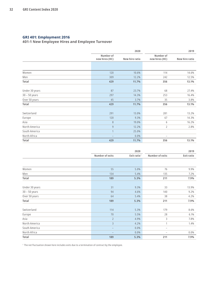# <span id="page-31-0"></span>**GRI 401: Employment 2016**

**401-1 New Employee Hires and Employee Turnover**

|                 |                             | 2020           |                             | 2019           |
|-----------------|-----------------------------|----------------|-----------------------------|----------------|
|                 | Number of<br>new hires (HC) | New hire ratio | Number of<br>new hires (HC) | New hire ratio |
|                 |                             |                |                             |                |
| Women           | 120                         | 10.6%          | 114                         | 14.6%          |
| Men             | 309                         | 12.2%          | 242                         | 12.5%          |
| Total           | 429                         | 11.7%          | 356                         | 13.1%          |
|                 |                             |                |                             |                |
| Under 30 years  | 87                          | 23.7%          | 68                          | 27.4%          |
| $30 - 50$ years | 297                         | 14.3%          | 253                         | 16.4%          |
| Over 50 years   | 45                          | 3.7%           | 35                          | 3.8%           |
| Total           | 429                         | 11.7%          | 356                         | 13.1%          |
| Switzerland     | 291                         | 13.0%          | 281                         | 13.2%          |
| Europe          | 120                         | 9.3%           | 67                          | 14.3%          |
| Asia            | 8                           | 19.0%          | 6                           | 16.2%          |
| North America   | $\overline{9}$              | 12.2%          | $\overline{2}$              | 2.8%           |
| South America   | 1                           | 25.0%          |                             |                |
| North Africa    |                             | 0.0%           | $\overline{\phantom{a}}$    |                |
| Total           | 429                         | 11.7%          | 356                         | 13.1%          |

|                 |                 | 2020                    |                          | 2019              |
|-----------------|-----------------|-------------------------|--------------------------|-------------------|
|                 | Number of exits | Exit ratio <sup>1</sup> | Number of exits          | <b>Exit ratio</b> |
|                 |                 |                         |                          |                   |
|                 |                 |                         |                          |                   |
| Women           | 55              | 5.0%                    | 76                       | 9.9%              |
| Men             | 134             | 5.4%                    | 135                      | 7.2%              |
| Total           | 189             | 5.3%                    | 211                      | 7.9%              |
|                 |                 |                         |                          |                   |
| Under 30 years  | 31              | 9.3%                    | 33                       | 13.9%             |
| $30 - 50$ years | 94              | 4.6%                    | 140                      | 9.2%              |
| Over 50 years   | 64              | 5.4%                    | 38                       | 4.2%              |
| Total           | 189             | 5.3%                    | 211                      | 7.9%              |
|                 |                 |                         |                          |                   |
| Switzerland     | 114             | 5.3%                    | 179                      | 8.6%              |
| Europe          | 70              | 5.5%                    | 28                       | 6.1%              |
| Asia            | $\overline{2}$  | 4.9%                    | 3                        | 7.8%              |
| North America   | 3               | 4.2%                    | 1                        | 1.4%              |
| South America   |                 | 0.0%                    | $\overline{\phantom{a}}$ |                   |
| North Africa    |                 | 0.0%                    |                          | 0.0%              |
| Total           | 189             | 5.3%                    | 211                      | 7.9%              |

<sup>1</sup> The net fluctuation shown here includes exits due to a termination of contract by the employee.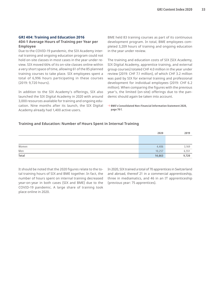#### <span id="page-32-0"></span>**GRI 404: Training and Education 2016**

#### **404-1 Average Hours of Training per Year per Employee**

Due to the COVID-19 pandemic, the SIX Academy internal training and ongoing education program could not hold on-site classes in most cases in the year under review. SIX moved 66% of its on-site classes online within a very short space of time, allowing 61 of the 85 planned training courses to take place. SIX employees spent a total of 6,996 hours participating in these courses (2019: 9,720 hours).

In addition to the SIX Academy's offerings, SIX also launched the SIX Digital Academy in 2020 with around 3,000 resources available for training and ongoing education. Nine months after its launch, the SIX Digital Academy already had 1,400 active users.

BME held 83 training courses as part of its continuous development program. In total, BME employees completed 3,209 hours of training and ongoing education in the year under review.

The training and education costs of SIX (SIX Academy, SIX Digital Academy, apprentice training, and external group courses) totaled CHF 4.0 million in the year under review (2019: CHF 7.1 million), of which CHF 3.2 million was paid by SIX for external training and professional development for individual employees (2019: CHF 6.2 million). When comparing the figures with the previous year's, the limited (on-site) offerings due to the pandemic should again be taken into account.

→ **[BME's Consolidated Non-Financial Information Statement 2020,](https://www.bolsasymercados.es/docs/inf_legal/ing/economico/2020/NonFinancialInfo_2020.pdf?8UD3Jw)  page 70 f.**

#### **Training and Education: Number of Hours Spent in Internal Training**

|                             | 2020   | 2019  |
|-----------------------------|--------|-------|
|                             |        |       |
|                             |        |       |
| Women                       | 4,406  | 3,169 |
| Men                         | 10,257 | 6,551 |
| $\overline{\mathrm{Total}}$ | 14,663 | 9,720 |

It should be noted that the 2020 figures relate to the total training hours of SIX and BME together. In fact, the number of hours spent on internal training decreased year-on-year in both cases (SIX and BME) due to the COVID-19 pandemic. A large share of training took place online in 2020.

In 2020, SIX trained a total of 70 apprentices in Switzerland and abroad, thereof 21 in a commercial apprenticeship, three in mediamatics, and 46 in an IT apprenticeship (previous year: 75 apprentices).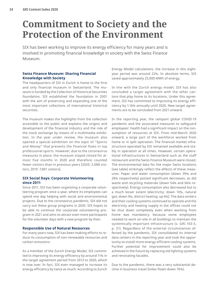# <span id="page-33-0"></span>**Commitment to Society and the Protection of the Environment**

SIX has been working to improve its energy efficiency for many years and is involved in promoting financial knowledge in society with the Swiss Finance Museum.

### **Swiss Finance Museum: Sharing Financial Knowledge with Society**

The headquarters of SIX in Zurich is home to the first and only financial museum in Switzerland. The museum is funded by the Collection of Historical Securities foundation. SIX established the foundation in 2001 with the aim of preserving and expanding one of the most important collections of international historical securities.

The museum makes the highlights from the collection accessible to the public and explains the origins and development of the financial industry and the role of the stock exchange by means of a multimedia exhibition. In the year under review, the museum also opened a special exhibition on the topic of "Sports and Money" that presents the financial flows in top professional sports. However, due to the coronavirus measures in place, the museum stayed closed for almost five months in 2020 and therefore counted fewer visitors than in previous years (2020: 2,088 visitors; 2019: 7,801 visitors).

#### **SIX Social Days: Corporate Volunteering since 2011**

Since 2011, SIX has been organizing a corporate volunteering program once a year, where its employees can spend one day helping with social and environmental projects. Due to the coronavirus pandemic, SIX did not carry out these group programs in 2020. SIX hopes to be able to continue the corporate volunteering program in 2021 and aims to attract even more participants for the volunteer days with a new program by then.

#### **Responsible Use of Natural Resources**

For many years now, SIX has been making efforts to reduce its consumption of non-renewable resources and carbon emissions.

As a member of the Zurich Energy Model, SIX committed to improving its energy efficiency by around 11% in the target agreement period from 2013 to 2020, which is now over. In fact, SIX even managed to increase its energy efficiency by twice as much: According to Zurich Energy Model calculations, the increase in this eightyear period was around 22%. In absolute terms, SIX saved approximately 25,000 MWh of energy.

In line with the Zurich energy model, SIX has also concluded a target agreement with the other cantons that play home to its locations. Under this agreement, SIX has committed to improving its energy efficiency by 1.16% annually until 2020. New target agreements are to be concluded from 2021 onward.

In the reporting year, the rampant global COVID-19 pandemic and the associated measures to safeguard employees' health had a significant impact on the consumption of resources at SIX. From mid-March 2020 onward, a large part of the workforce worked from home or in split operation. The financial market infrastructure operated by SIX remained available and stably in operation at all times. However, certain operational infrastructures in Switzerland such as the staff restaurant and the Swiss Finance Museum were closed. The environmental data for the major Swiss locations (see table) strikingly reflect the effects of these measures: Paper and water consumption (down 39% and 28% respectively) posted significant decreases, as did waste and recycling materials (down 54% and 66% respectively). Energy consumption also decreased but to a much lesser extent (electricity: down 10%, natural gas: down 9%, district heating: up 4%). The data centers and their cooling systems continued to operate and the electricity and heating supply in the offices could not be shut down completely even when working from home was mandatory, because some employees needed to work on-site in all buildings to maintain the systemically important infrastructure (s. GRI 103-3, p. 31). Regardless of the external circumstances affected by the pandemic, SIX consolidated its internal data centers in the reporting year and took the opportunity to install more energy-efficient cooling systems. Further potential for improvement could also be achieved in the future by replacing old lighting systems and renovating facades.

Due to the pandemic, there was a very substantial decline in business travel (miles flown down 70%).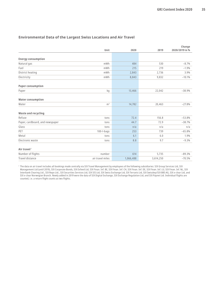|                                 |                  |           |           | Change         |
|---------------------------------|------------------|-----------|-----------|----------------|
|                                 | Unit             | 2020      | 2019      | 2020/2019 in % |
|                                 |                  |           |           |                |
| <b>Energy consumption</b>       |                  |           |           |                |
| Natural gas                     | mWh              | 484       | 530       | $-8.7%$        |
| Fuel                            | mWh              | 215       | 219       | $-1.9%$        |
| District heating                | mWh              | 2,843     | 2,736     | 3.9%           |
| Electricity                     | mWh              | 8,843     | 9,832     | $-10.1%$       |
| <b>Paper consumption</b>        |                  |           |           |                |
| Paper                           | kg               | 13,466    | 22,042    | $-38.9%$       |
| <b>Water consumption</b>        |                  |           |           |                |
| Water                           | m <sup>3</sup>   | 14,782    | 20,463    | $-27.8%$       |
| Waste and recycling             |                  |           |           |                |
| Refuse                          | tons             | 72.4      | 156.8     | $-53.8%$       |
| Paper, cardboard, and newspaper | tons             | 44.7      | 72.9      | $-38.7%$       |
| Glass                           | tons             | n/a       | n/a       | n/a            |
| PET                             | $100 - 1 - bags$ | 253       | 739       | $-65.8%$       |
| Metal                           | tons             | 6.1       | 6.0       | 1.9%           |
| Electronic waste                | tons             | 8.8       | 9.7       | $-9.3%$        |
| Air travel <sup>1</sup>         |                  |           |           |                |
| Number of flights               | number           | 614       | 5,735     | $-89.3%$       |
| Travel distance                 | air travel miles | 1,066,488 | 3,614,250 | $-70.5%$       |

#### <span id="page-34-0"></span>**Environmental Data of the Largest Swiss Locations and Air Travel**

<sup>1</sup> The data on air travel includes all bookings made centrally via SIX Travel Management by employees of the following subsidiaries: SIX Group Services Ltd, SIX Management Ltd (until 2019), SIX Corporate Bonds, SIX Exfeed Ltd, SIX Finan. Inf. BE, SIX Finan. Inf. CH, SIX Finan. Inf. DE, SIX Finan. Inf. LU, SIX Finan. Inf. NL, SIX Interbank Clearing Ltd., SIX Repo Ltd., SIX Securities Services Ltd, SIX SIS Ltd, SIX Swiss Exchange Ltd, SIX Terravis Ltd, SIX Swisskey/SIX BBS AG, SIX x-clear Ltd, and SIX x-clear Norwegian Branch. Newly added in 2019 were the data of SIX Digital Exchange, SIX Exchange Regulation Ltd, and SIX Paynet Ltd. Individual flights are counted, i.e. a return flight counts as two flights.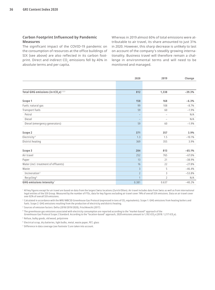#### **Carbon Footprint Influenced by Pandemic Measures**

The significant impact of the COVID-19 pandemic on the consumption of resources at the office buildings of SIX (see above) are also reflected in its carbon footprint. Direct and indirect  $\mathsf{CO}_2$  emissions fell by 40% in absolute terms and per capita.

Whereas in 2019 almost 60% of total emissions were attributable to air travel, its share amounted to just 31% in 2020. However, this sharp decrease is unlikely to last on account of the company's steadily growing internationality. Business travel will therefore remain a challenge in environmental terms and will need to be monitored and managed.

|                                                              | 2020                     | 2019                     | Change   |
|--------------------------------------------------------------|--------------------------|--------------------------|----------|
|                                                              |                          |                          |          |
| Total GHG emissions (in tCO <sub>2</sub> e) <sup>1,2,3</sup> | 812                      | 1,338                    | $-39.3%$ |
| Scope 1                                                      | 158                      | 168                      | $-6.3%$  |
| Fuels: natural gas                                           | 99                       | 108                      | $-8.7%$  |
| Transport fuels                                              | 59                       | 60                       | $-1.9%$  |
| Petrol                                                       | $\overline{\phantom{m}}$ | $\qquad \qquad -$        | N/A      |
| Diesel                                                       | $\overline{\phantom{m}}$ | $\overline{\phantom{0}}$ | N/A      |
| Diesel (emergency generators)                                | 59                       | 60                       | $-1.9%$  |
| Scope 2                                                      | 371                      | 357                      | 3.9%     |
| Electricity <sup>4</sup>                                     | 1.3                      | 1.5                      | $-10.1%$ |
| District heating                                             | 369                      | 355                      | 3.9%     |
| Scope 3                                                      | 284                      | 813                      | $-65.1%$ |
| Air travel                                                   | 252                      | 765                      | $-67.0%$ |
| Paper                                                        | 13                       | 21                       | $-38.9%$ |
| Water (incl. treatment of effluents)                         | 16                       | 22                       | $-27.8%$ |
| Waste                                                        | $\overline{3}$           | 5                        | $-46.4%$ |
| Incineration <sup>5</sup>                                    | $\overline{2}$           | 3                        | $-53.8%$ |
| Recycling <sup>6</sup>                                       | $\overline{1}$           | $\overline{2}$           | N/A      |
| GHG emissions intensity <sup>7</sup>                         | 0.381                    | 0.637                    | $-40.2%$ |

<sup>1</sup> All key figures except for air travel are based on data from the largest Swiss locations (Zurich/Olten). Air travel includes data from Swiss as well as from international legal entities of the SIX Group. Measured by the number of FTEs, data for key figures excluding air travel cover 74% of overall SIX emissions. Data on air travel cover over 82% of overall SIX emissions.

 $^{\rm 2}$  Calculated in accordance with the WRI/WBCSD Greenhouse Gas Protocol (expressed in tons of CO $_2$ -equivalents). Scope 1: GHG emissions from heating boilers and fuels. Scope 2: GHG emissions resulting from the production of electricity and district heating.

<sup>3</sup> Sources of emission factors: Defra (2018/2019/2020), Frischknecht (2017)

<sup>4</sup> The greenhouse gas emissions associated with electricity consumption are reported according to the "market-based" approach of the Greenhouse Gas Protocol Scope 2 Standard. According to the "location-based" approach, 2020 emissions amount to 1,192 tCO<sub>2</sub>e (2018: 1,217 tCO<sub>2</sub>e).

<sup>5</sup> Refuse, bulky goods, old wood, polystrene

<sup>6</sup> Electrical scrap, dry batteries, light bulbs, metal, waste paper, PET, glass

<sup>7</sup> Difference in data coverage (see footnote 1) are taken into account.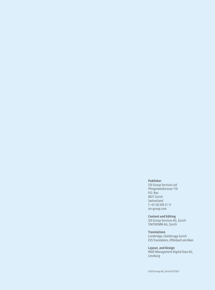#### **Publisher**

SIX Group Services Ltd Pfingstweidstrasse 110 P.O. Box 8021 Zurich Switzerland T +41 58 399 21 11 [six-group.com](http://www.six-group.com)

**Content and Editing** 

SIX Group Services AG, Zurich TAKTKOMM AG, Zurich

**Translations**

Lionbridge, Glattbrugg-Zurich EVS Translations, Offenbach am Main

**Layout, and Design** MDD Management Digital Data AG, Lenzburg